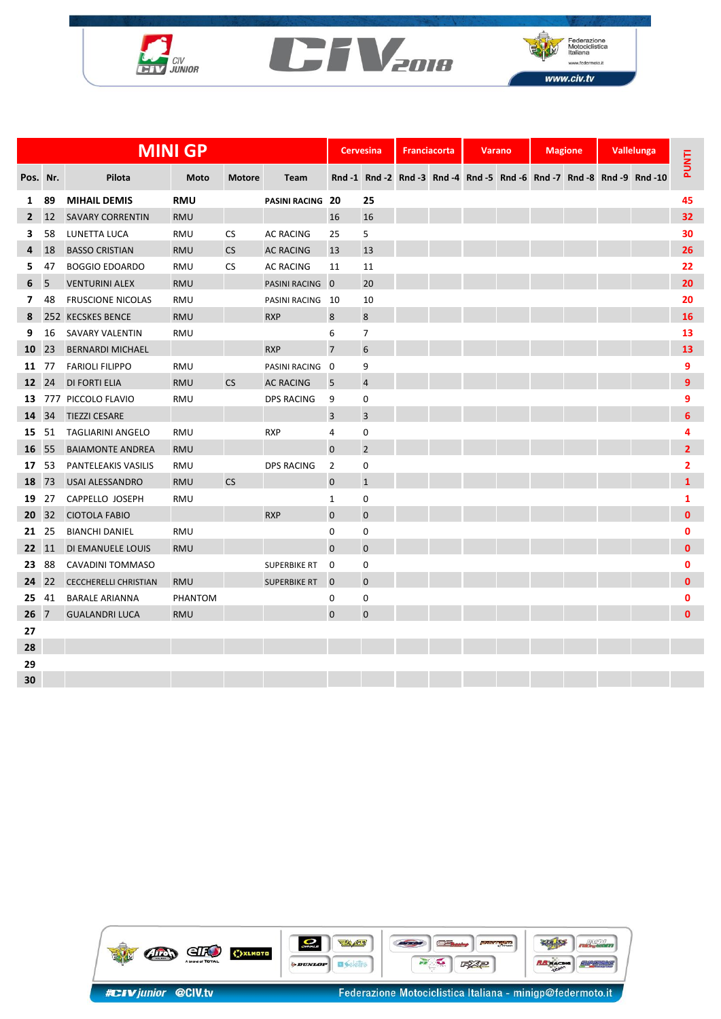





|              | <b>MINI GP</b> |                              |            |               |                     |                         | <b>Cervesina</b> |  | <b>Franciacorta</b> |  | <b>Varano</b> | <b>Magione</b> |  | Vallelunga |                                                                        |                |
|--------------|----------------|------------------------------|------------|---------------|---------------------|-------------------------|------------------|--|---------------------|--|---------------|----------------|--|------------|------------------------------------------------------------------------|----------------|
| Pos. Nr.     |                | Pilota                       | Moto       | <b>Motore</b> | Team                |                         |                  |  |                     |  |               |                |  |            | Rnd -1 Rnd -2 Rnd -3 Rnd -4 Rnd -5 Rnd -6 Rnd -7 Rnd -8 Rnd -9 Rnd -10 | <b>PUNTI</b>   |
| 1            | 89             | <b>MIHAIL DEMIS</b>          | <b>RMU</b> |               | PASINI RACING 20    |                         | 25               |  |                     |  |               |                |  |            |                                                                        | 45             |
| $\mathbf{2}$ | 12             | <b>SAVARY CORRENTIN</b>      | <b>RMU</b> |               |                     | 16                      | 16               |  |                     |  |               |                |  |            |                                                                        | 32             |
| 3            | 58             | LUNETTA LUCA                 | <b>RMU</b> | <b>CS</b>     | <b>AC RACING</b>    | 25                      | 5                |  |                     |  |               |                |  |            |                                                                        | 30             |
| 4            | 18             | <b>BASSO CRISTIAN</b>        | <b>RMU</b> | <b>CS</b>     | <b>AC RACING</b>    | 13                      | 13               |  |                     |  |               |                |  |            |                                                                        | 26             |
| 5.           | 47             | <b>BOGGIO EDOARDO</b>        | <b>RMU</b> | <b>CS</b>     | <b>AC RACING</b>    | 11                      | 11               |  |                     |  |               |                |  |            |                                                                        | 22             |
| 6            | 5              | <b>VENTURINI ALEX</b>        | <b>RMU</b> |               | PASINI RACING 0     |                         | 20               |  |                     |  |               |                |  |            |                                                                        | 20             |
| 7            | 48             | <b>FRUSCIONE NICOLAS</b>     | <b>RMU</b> |               | PASINI RACING       | - 10                    | 10               |  |                     |  |               |                |  |            |                                                                        | 20             |
| 8            |                | 252 KECSKES BENCE            | <b>RMU</b> |               | <b>RXP</b>          | 8                       | $\bf 8$          |  |                     |  |               |                |  |            |                                                                        | 16             |
| 9            | 16             | <b>SAVARY VALENTIN</b>       | <b>RMU</b> |               |                     | 6                       | 7                |  |                     |  |               |                |  |            |                                                                        | 13             |
| 10           | 23             | <b>BERNARDI MICHAEL</b>      |            |               | <b>RXP</b>          | $\overline{7}$          | $6\phantom{1}$   |  |                     |  |               |                |  |            |                                                                        | 13             |
| 11           | 77             | <b>FARIOLI FILIPPO</b>       | <b>RMU</b> |               | PASINI RACING       | $\overline{\mathbf{0}}$ | 9                |  |                     |  |               |                |  |            |                                                                        | 9              |
| 12 24        |                | <b>DI FORTI ELIA</b>         | <b>RMU</b> | <b>CS</b>     | <b>AC RACING</b>    | 5                       | $\overline{4}$   |  |                     |  |               |                |  |            |                                                                        | 9              |
| 13           |                | 777 PICCOLO FLAVIO           | <b>RMU</b> |               | <b>DPS RACING</b>   | 9                       | 0                |  |                     |  |               |                |  |            |                                                                        | 9              |
| 14           | 34             | <b>TIEZZI CESARE</b>         |            |               |                     | 3                       | 3                |  |                     |  |               |                |  |            |                                                                        | 6              |
| 15           | -51            | <b>TAGLIARINI ANGELO</b>     | <b>RMU</b> |               | <b>RXP</b>          | 4                       | 0                |  |                     |  |               |                |  |            |                                                                        | 4              |
| 16 55        |                | <b>BAIAMONTE ANDREA</b>      | <b>RMU</b> |               |                     | 0                       | $\overline{2}$   |  |                     |  |               |                |  |            |                                                                        | $\overline{2}$ |
| 17           | -53            | PANTELEAKIS VASILIS          | <b>RMU</b> |               | <b>DPS RACING</b>   | 2                       | 0                |  |                     |  |               |                |  |            |                                                                        | 2              |
| 18           | 73             | <b>USAI ALESSANDRO</b>       | <b>RMU</b> | <b>CS</b>     |                     | 0                       | $\mathbf{1}$     |  |                     |  |               |                |  |            |                                                                        | $\mathbf{1}$   |
| 19           | 27             | CAPPELLO JOSEPH              | <b>RMU</b> |               |                     | $\mathbf{1}$            | $\mathbf 0$      |  |                     |  |               |                |  |            |                                                                        | 1              |
| 20           | 32             | <b>CIOTOLA FABIO</b>         |            |               | <b>RXP</b>          | 0                       | $\mathbf 0$      |  |                     |  |               |                |  |            |                                                                        | $\mathbf{0}$   |
| 21           | 25             | <b>BIANCHI DANIEL</b>        | <b>RMU</b> |               |                     | 0                       | $\mathbf 0$      |  |                     |  |               |                |  |            |                                                                        | 0              |
| 22 11        |                | DI EMANUELE LOUIS            | <b>RMU</b> |               |                     | $\pmb{0}$               | $\pmb{0}$        |  |                     |  |               |                |  |            |                                                                        | $\mathbf{0}$   |
| 23           | 88             | CAVADINI TOMMASO             |            |               | <b>SUPERBIKE RT</b> | 0                       | 0                |  |                     |  |               |                |  |            |                                                                        | 0              |
| 24 22        |                | <b>CECCHERELLI CHRISTIAN</b> | <b>RMU</b> |               | <b>SUPERBIKE RT</b> | $\mathbf 0$             | $\mathbf 0$      |  |                     |  |               |                |  |            |                                                                        | $\mathbf{0}$   |
| 25           | 41             | <b>BARALE ARIANNA</b>        | PHANTOM    |               |                     | 0                       | 0                |  |                     |  |               |                |  |            |                                                                        | 0              |
| $26 \t 7$    |                | <b>GUALANDRI LUCA</b>        | <b>RMU</b> |               |                     | 0                       | $\mathbf 0$      |  |                     |  |               |                |  |            |                                                                        | $\mathbf{0}$   |
| 27           |                |                              |            |               |                     |                         |                  |  |                     |  |               |                |  |            |                                                                        |                |
| 28           |                |                              |            |               |                     |                         |                  |  |                     |  |               |                |  |            |                                                                        |                |
| 29           |                |                              |            |               |                     |                         |                  |  |                     |  |               |                |  |            |                                                                        |                |
| 30           |                |                              |            |               |                     |                         |                  |  |                     |  |               |                |  |            |                                                                        |                |

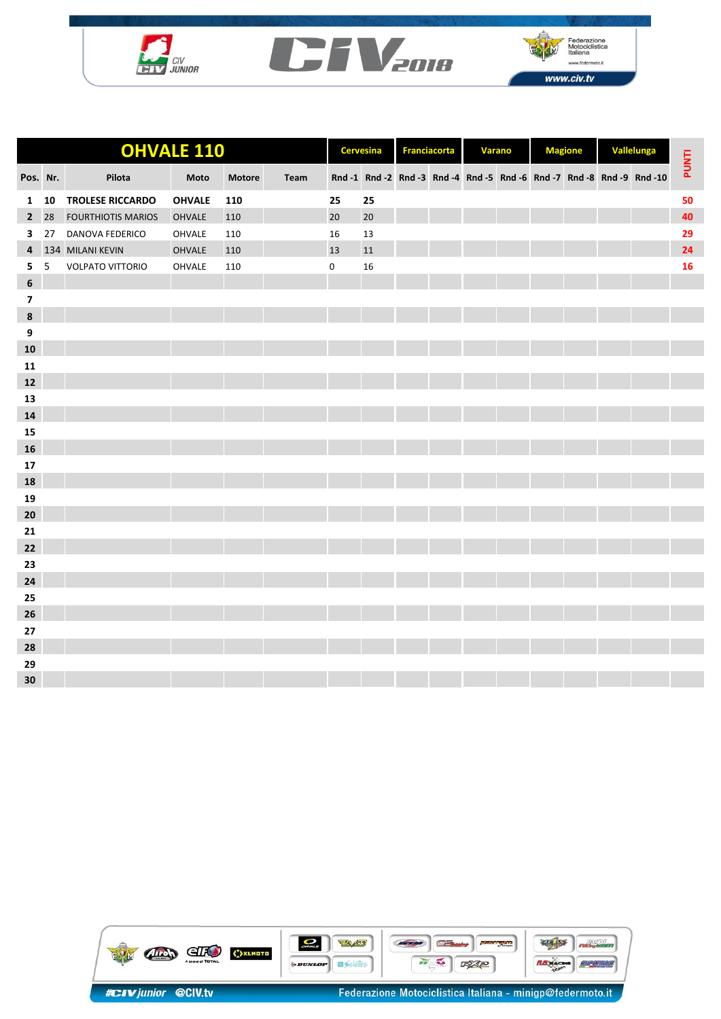





| <b>OHVALE 110</b>       |    |                           |               |               | <b>Cervesina</b> |    | <b>Franciacorta</b> |  | Varano |  | <b>Magione</b> |  | Vallelunga |                                                                        |       |
|-------------------------|----|---------------------------|---------------|---------------|------------------|----|---------------------|--|--------|--|----------------|--|------------|------------------------------------------------------------------------|-------|
| Pos. Nr.                |    | Pilota                    | Moto          | <b>Motore</b> | Team             |    |                     |  |        |  |                |  |            | Rnd -1 Rnd -2 Rnd -3 Rnd -4 Rnd -5 Rnd -6 Rnd -7 Rnd -8 Rnd -9 Rnd -10 | PUNTI |
| 1                       | 10 | <b>TROLESE RICCARDO</b>   | <b>OHVALE</b> | 110           |                  | 25 | 25                  |  |        |  |                |  |            |                                                                        | 50    |
| $\overline{2}$          | 28 | <b>FOURTHIOTIS MARIOS</b> | <b>OHVALE</b> | 110           |                  | 20 | 20                  |  |        |  |                |  |            |                                                                        | 40    |
| 3                       | 27 | DANOVA FEDERICO           | OHVALE        | 110           |                  | 16 | 13                  |  |        |  |                |  |            |                                                                        | 29    |
| 4                       |    | 134 MILANI KEVIN          | <b>OHVALE</b> | 110           |                  | 13 | 11                  |  |        |  |                |  |            |                                                                        | 24    |
| 5                       | 5  | <b>VOLPATO VITTORIO</b>   | OHVALE        | 110           |                  | 0  | 16                  |  |        |  |                |  |            |                                                                        | 16    |
| $6\phantom{1}6$         |    |                           |               |               |                  |    |                     |  |        |  |                |  |            |                                                                        |       |
| $\overline{\mathbf{z}}$ |    |                           |               |               |                  |    |                     |  |        |  |                |  |            |                                                                        |       |
| $\boldsymbol{8}$        |    |                           |               |               |                  |    |                     |  |        |  |                |  |            |                                                                        |       |
| $\boldsymbol{9}$        |    |                           |               |               |                  |    |                     |  |        |  |                |  |            |                                                                        |       |
| ${\bf 10}$              |    |                           |               |               |                  |    |                     |  |        |  |                |  |            |                                                                        |       |
| 11                      |    |                           |               |               |                  |    |                     |  |        |  |                |  |            |                                                                        |       |
| ${\bf 12}$              |    |                           |               |               |                  |    |                     |  |        |  |                |  |            |                                                                        |       |
| 13                      |    |                           |               |               |                  |    |                     |  |        |  |                |  |            |                                                                        |       |
| 14                      |    |                           |               |               |                  |    |                     |  |        |  |                |  |            |                                                                        |       |
| 15                      |    |                           |               |               |                  |    |                     |  |        |  |                |  |            |                                                                        |       |
| 16                      |    |                           |               |               |                  |    |                     |  |        |  |                |  |            |                                                                        |       |
| 17                      |    |                           |               |               |                  |    |                     |  |        |  |                |  |            |                                                                        |       |
| 18                      |    |                           |               |               |                  |    |                     |  |        |  |                |  |            |                                                                        |       |
| 19                      |    |                           |               |               |                  |    |                     |  |        |  |                |  |            |                                                                        |       |
| 20                      |    |                           |               |               |                  |    |                     |  |        |  |                |  |            |                                                                        |       |
| 21                      |    |                           |               |               |                  |    |                     |  |        |  |                |  |            |                                                                        |       |
| 22                      |    |                           |               |               |                  |    |                     |  |        |  |                |  |            |                                                                        |       |
| 23                      |    |                           |               |               |                  |    |                     |  |        |  |                |  |            |                                                                        |       |
| 24                      |    |                           |               |               |                  |    |                     |  |        |  |                |  |            |                                                                        |       |
| 25                      |    |                           |               |               |                  |    |                     |  |        |  |                |  |            |                                                                        |       |
| 26                      |    |                           |               |               |                  |    |                     |  |        |  |                |  |            |                                                                        |       |
| 27                      |    |                           |               |               |                  |    |                     |  |        |  |                |  |            |                                                                        |       |
| 28                      |    |                           |               |               |                  |    |                     |  |        |  |                |  |            |                                                                        |       |
| 29                      |    |                           |               |               |                  |    |                     |  |        |  |                |  |            |                                                                        |       |
| 30                      |    |                           |               |               |                  |    |                     |  |        |  |                |  |            |                                                                        |       |

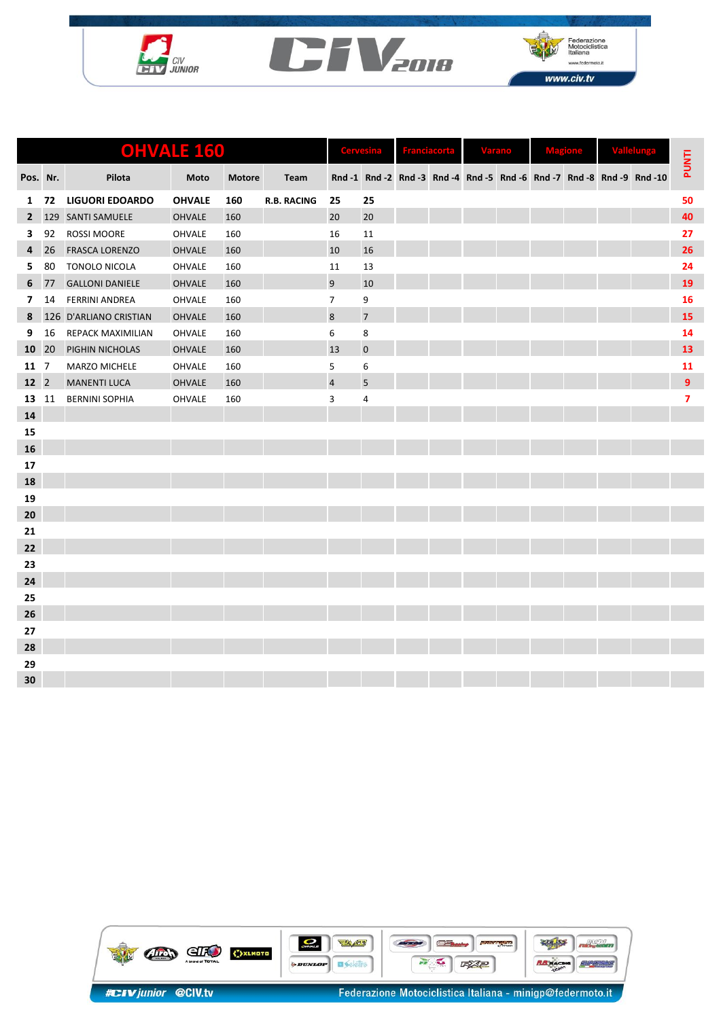





|                 | <b>OHVALE 160</b> |                        |               |               |                    |                         |                |  |  |  | <b>Varano</b> |  |  |  |                                                                        |                         |
|-----------------|-------------------|------------------------|---------------|---------------|--------------------|-------------------------|----------------|--|--|--|---------------|--|--|--|------------------------------------------------------------------------|-------------------------|
| Pos. Nr.        |                   | Pilota                 | Moto          | <b>Motore</b> | Team               |                         |                |  |  |  |               |  |  |  | Rnd -1 Rnd -2 Rnd -3 Rnd -4 Rnd -5 Rnd -6 Rnd -7 Rnd -8 Rnd -9 Rnd -10 | <b>PUNTI</b>            |
| $\mathbf{1}$    | 72                | <b>LIGUORI EDOARDO</b> | <b>OHVALE</b> | 160           | <b>R.B. RACING</b> | 25                      | 25             |  |  |  |               |  |  |  |                                                                        | 50                      |
| $\mathbf{2}$    | 129               | <b>SANTI SAMUELE</b>   | <b>OHVALE</b> | 160           |                    | 20                      | 20             |  |  |  |               |  |  |  |                                                                        | 40                      |
| 3               | 92                | ROSSI MOORE            | OHVALE        | 160           |                    | 16                      | 11             |  |  |  |               |  |  |  |                                                                        | 27                      |
| 4               | 26                | <b>FRASCA LORENZO</b>  | <b>OHVALE</b> | 160           |                    | 10                      | 16             |  |  |  |               |  |  |  |                                                                        | 26                      |
| 5               | 80                | <b>TONOLO NICOLA</b>   | OHVALE        | 160           |                    | 11                      | 13             |  |  |  |               |  |  |  |                                                                        | 24                      |
| 6               | 77                | <b>GALLONI DANIELE</b> | <b>OHVALE</b> | 160           |                    | 9                       | 10             |  |  |  |               |  |  |  |                                                                        | 19                      |
| $\overline{7}$  | 14                | <b>FERRINI ANDREA</b>  | OHVALE        | 160           |                    | $\overline{7}$          | 9              |  |  |  |               |  |  |  |                                                                        | 16                      |
| 8               |                   | 126 D'ARLIANO CRISTIAN | <b>OHVALE</b> | 160           |                    | 8                       | $\overline{7}$ |  |  |  |               |  |  |  |                                                                        | 15                      |
| 9               | 16                | REPACK MAXIMILIAN      | OHVALE        | 160           |                    | 6                       | 8              |  |  |  |               |  |  |  |                                                                        | 14                      |
| 10              | 20                | PIGHIN NICHOLAS        | <b>OHVALE</b> | 160           |                    | 13                      | $\mathbf 0$    |  |  |  |               |  |  |  |                                                                        | 13                      |
| 11              | $\overline{7}$    | MARZO MICHELE          | OHVALE        | 160           |                    | 5                       | 6              |  |  |  |               |  |  |  |                                                                        | 11                      |
| 12 <sup>2</sup> |                   | <b>MANENTI LUCA</b>    | <b>OHVALE</b> | 160           |                    | $\overline{\mathbf{4}}$ | 5              |  |  |  |               |  |  |  |                                                                        | $\mathbf{9}$            |
| 13              | 11                | <b>BERNINI SOPHIA</b>  | OHVALE        | 160           |                    | 3                       | 4              |  |  |  |               |  |  |  |                                                                        | $\overline{\mathbf{z}}$ |
| 14              |                   |                        |               |               |                    |                         |                |  |  |  |               |  |  |  |                                                                        |                         |
| 15              |                   |                        |               |               |                    |                         |                |  |  |  |               |  |  |  |                                                                        |                         |
| 16              |                   |                        |               |               |                    |                         |                |  |  |  |               |  |  |  |                                                                        |                         |
| 17              |                   |                        |               |               |                    |                         |                |  |  |  |               |  |  |  |                                                                        |                         |
| 18              |                   |                        |               |               |                    |                         |                |  |  |  |               |  |  |  |                                                                        |                         |
| 19              |                   |                        |               |               |                    |                         |                |  |  |  |               |  |  |  |                                                                        |                         |
| 20              |                   |                        |               |               |                    |                         |                |  |  |  |               |  |  |  |                                                                        |                         |
| 21              |                   |                        |               |               |                    |                         |                |  |  |  |               |  |  |  |                                                                        |                         |
| 22              |                   |                        |               |               |                    |                         |                |  |  |  |               |  |  |  |                                                                        |                         |
| 23              |                   |                        |               |               |                    |                         |                |  |  |  |               |  |  |  |                                                                        |                         |
| 24              |                   |                        |               |               |                    |                         |                |  |  |  |               |  |  |  |                                                                        |                         |
| 25              |                   |                        |               |               |                    |                         |                |  |  |  |               |  |  |  |                                                                        |                         |
| 26              |                   |                        |               |               |                    |                         |                |  |  |  |               |  |  |  |                                                                        |                         |
| 27              |                   |                        |               |               |                    |                         |                |  |  |  |               |  |  |  |                                                                        |                         |
| 28              |                   |                        |               |               |                    |                         |                |  |  |  |               |  |  |  |                                                                        |                         |
| 29              |                   |                        |               |               |                    |                         |                |  |  |  |               |  |  |  |                                                                        |                         |
| 30              |                   |                        |               |               |                    |                         |                |  |  |  |               |  |  |  |                                                                        |                         |

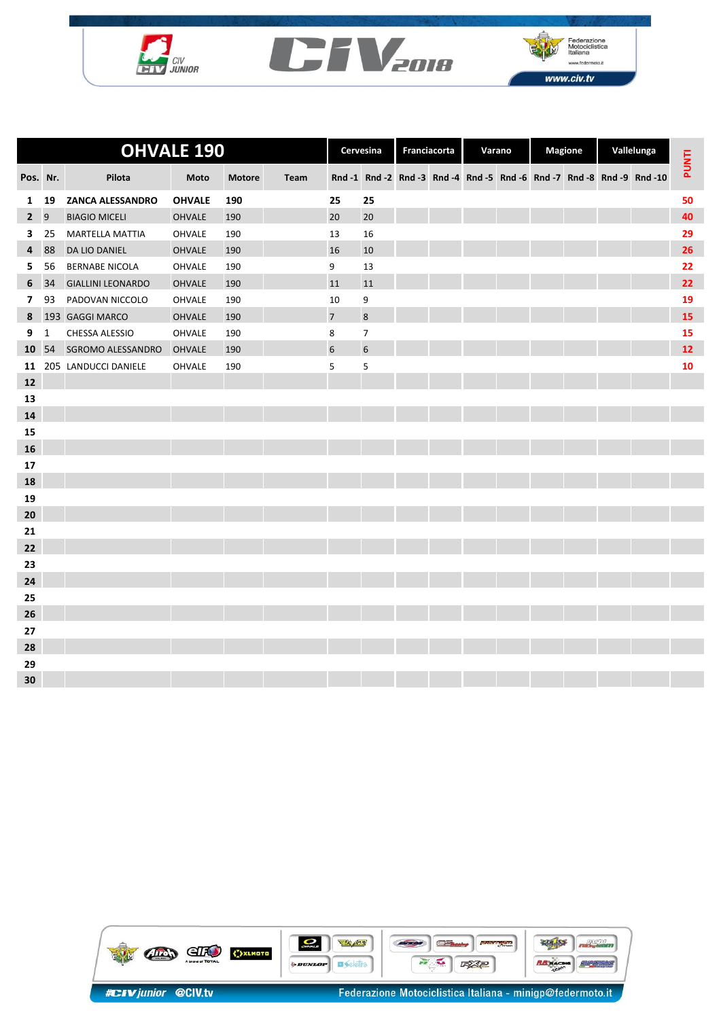





|                | <b>OHVALE 190</b> |                          |               |               |      | Cervesina                |                | Franciacorta |  | Varano |  | <b>Magione</b> |  | Vallelunga |                                                                        |              |
|----------------|-------------------|--------------------------|---------------|---------------|------|--------------------------|----------------|--------------|--|--------|--|----------------|--|------------|------------------------------------------------------------------------|--------------|
| Pos. Nr.       |                   | Pilota                   | Moto          | <b>Motore</b> | Team |                          |                |              |  |        |  |                |  |            | Rnd -1 Rnd -2 Rnd -3 Rnd -4 Rnd -5 Rnd -6 Rnd -7 Rnd -8 Rnd -9 Rnd -10 | <b>PUNTI</b> |
| $\mathbf{1}$   | 19                | ZANCA ALESSANDRO         | <b>OHVALE</b> | 190           |      | 25                       | 25             |              |  |        |  |                |  |            |                                                                        | 50           |
| $2^{\circ}$    | $\overline{9}$    | <b>BIAGIO MICELI</b>     | <b>OHVALE</b> | 190           |      | 20                       | 20             |              |  |        |  |                |  |            |                                                                        | 40           |
| 3              | 25                | <b>MARTELLA MATTIA</b>   | OHVALE        | 190           |      | 13                       | 16             |              |  |        |  |                |  |            |                                                                        | 29           |
| 4              | 88                | <b>DA LIO DANIEL</b>     | <b>OHVALE</b> | 190           |      | 16                       | 10             |              |  |        |  |                |  |            |                                                                        | 26           |
| 5.             | 56                | <b>BERNABE NICOLA</b>    | OHVALE        | 190           |      | 9                        | 13             |              |  |        |  |                |  |            |                                                                        | 22           |
| 6              | 34                | <b>GIALLINI LEONARDO</b> | <b>OHVALE</b> | 190           |      | 11                       | 11             |              |  |        |  |                |  |            |                                                                        | 22           |
| $\overline{7}$ | 93                | PADOVAN NICCOLO          | OHVALE        | 190           |      | 10                       | 9              |              |  |        |  |                |  |            |                                                                        | 19           |
| 8              |                   | 193 GAGGI MARCO          | <b>OHVALE</b> | 190           |      | $\overline{\phantom{a}}$ | $\bf 8$        |              |  |        |  |                |  |            |                                                                        | 15           |
| 9              | $\mathbf{1}$      | CHESSA ALESSIO           | <b>OHVALE</b> | 190           |      | 8                        | $\overline{7}$ |              |  |        |  |                |  |            |                                                                        | 15           |
| 10             | 54                | SGROMO ALESSANDRO        | <b>OHVALE</b> | 190           |      | $6\overline{6}$          | $\sqrt{6}$     |              |  |        |  |                |  |            |                                                                        | 12           |
| 11             |                   | 205 LANDUCCI DANIELE     | <b>OHVALE</b> | 190           |      | 5                        | 5              |              |  |        |  |                |  |            |                                                                        | 10           |
| 12             |                   |                          |               |               |      |                          |                |              |  |        |  |                |  |            |                                                                        |              |
| 13             |                   |                          |               |               |      |                          |                |              |  |        |  |                |  |            |                                                                        |              |
| 14             |                   |                          |               |               |      |                          |                |              |  |        |  |                |  |            |                                                                        |              |
| 15             |                   |                          |               |               |      |                          |                |              |  |        |  |                |  |            |                                                                        |              |
| ${\bf 16}$     |                   |                          |               |               |      |                          |                |              |  |        |  |                |  |            |                                                                        |              |
| 17             |                   |                          |               |               |      |                          |                |              |  |        |  |                |  |            |                                                                        |              |
| 18             |                   |                          |               |               |      |                          |                |              |  |        |  |                |  |            |                                                                        |              |
| 19             |                   |                          |               |               |      |                          |                |              |  |        |  |                |  |            |                                                                        |              |
| 20             |                   |                          |               |               |      |                          |                |              |  |        |  |                |  |            |                                                                        |              |
| 21             |                   |                          |               |               |      |                          |                |              |  |        |  |                |  |            |                                                                        |              |
| 22             |                   |                          |               |               |      |                          |                |              |  |        |  |                |  |            |                                                                        |              |
| 23             |                   |                          |               |               |      |                          |                |              |  |        |  |                |  |            |                                                                        |              |
| 24             |                   |                          |               |               |      |                          |                |              |  |        |  |                |  |            |                                                                        |              |
| 25             |                   |                          |               |               |      |                          |                |              |  |        |  |                |  |            |                                                                        |              |
| 26             |                   |                          |               |               |      |                          |                |              |  |        |  |                |  |            |                                                                        |              |
| 27             |                   |                          |               |               |      |                          |                |              |  |        |  |                |  |            |                                                                        |              |
| 28             |                   |                          |               |               |      |                          |                |              |  |        |  |                |  |            |                                                                        |              |
| 29             |                   |                          |               |               |      |                          |                |              |  |        |  |                |  |            |                                                                        |              |
| 30             |                   |                          |               |               |      |                          |                |              |  |        |  |                |  |            |                                                                        |              |

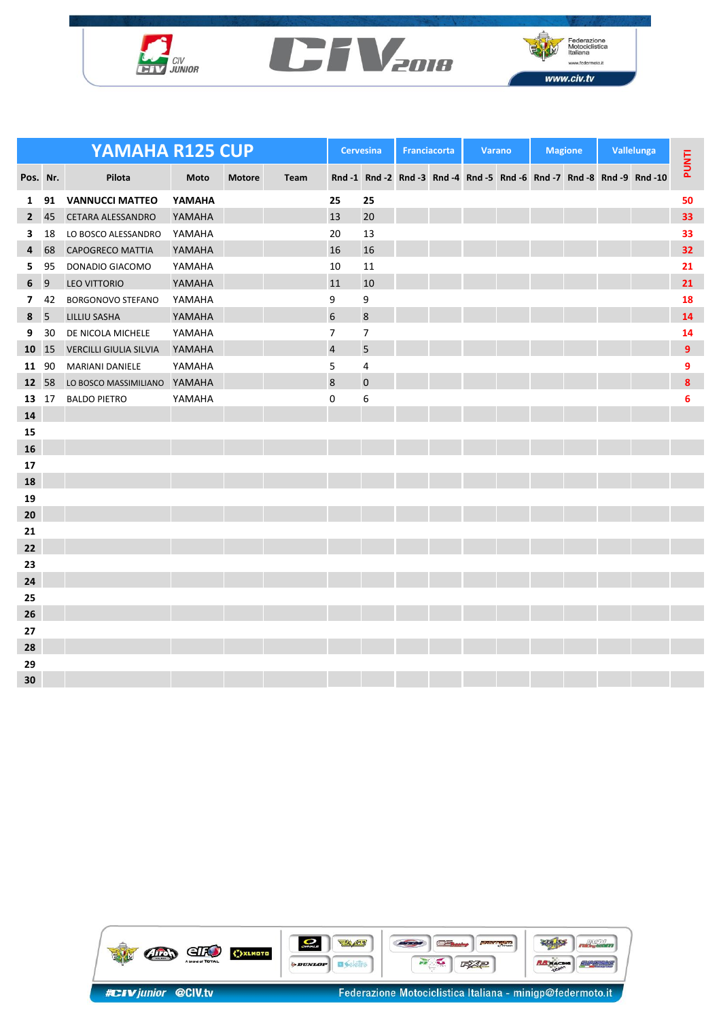





| YAMAHA R125 CUP |    |                               |        |               |      |                 | <b>Cervesina</b> |  | <b>Franciacorta</b> | <b>Varano</b> | <b>Magione</b> |  | Vallelunga |                                                                        |                |
|-----------------|----|-------------------------------|--------|---------------|------|-----------------|------------------|--|---------------------|---------------|----------------|--|------------|------------------------------------------------------------------------|----------------|
| Pos. Nr.        |    | Pilota                        | Moto   | <b>Motore</b> | Team |                 |                  |  |                     |               |                |  |            | Rnd -1 Rnd -2 Rnd -3 Rnd -4 Rnd -5 Rnd -6 Rnd -7 Rnd -8 Rnd -9 Rnd -10 | <b>PUNTI</b>   |
| $\mathbf{1}$    | 91 | <b>VANNUCCI MATTEO</b>        | YAMAHA |               |      | 25              | 25               |  |                     |               |                |  |            |                                                                        | 50             |
| $\overline{2}$  | 45 | <b>CETARA ALESSANDRO</b>      | YAMAHA |               |      | 13              | 20               |  |                     |               |                |  |            |                                                                        | 33             |
| 3               | 18 | LO BOSCO ALESSANDRO           | YAMAHA |               |      | 20              | 13               |  |                     |               |                |  |            |                                                                        | 33             |
| 4               | 68 | <b>CAPOGRECO MATTIA</b>       | YAMAHA |               |      | 16              | 16               |  |                     |               |                |  |            |                                                                        | 32             |
| 5.              | 95 | DONADIO GIACOMO               | YAMAHA |               |      | 10              | 11               |  |                     |               |                |  |            |                                                                        | 21             |
| 6               | 9  | <b>LEO VITTORIO</b>           | YAMAHA |               |      | 11              | 10               |  |                     |               |                |  |            |                                                                        | 21             |
| $\overline{7}$  | 42 | <b>BORGONOVO STEFANO</b>      | YAMAHA |               |      | 9               | 9                |  |                     |               |                |  |            |                                                                        | 18             |
| 8 <sub>5</sub>  |    | <b>LILLIU SASHA</b>           | YAMAHA |               |      | $6\overline{6}$ | $\bf 8$          |  |                     |               |                |  |            |                                                                        | 14             |
| 9               | 30 | DE NICOLA MICHELE             | YAMAHA |               |      | $\overline{7}$  | 7                |  |                     |               |                |  |            |                                                                        | 14             |
| 10              | 15 | <b>VERCILLI GIULIA SILVIA</b> | YAMAHA |               |      | $\overline{a}$  | 5                |  |                     |               |                |  |            |                                                                        | $\overline{9}$ |
| 11              | 90 | <b>MARIANI DANIELE</b>        | YAMAHA |               |      | 5               | 4                |  |                     |               |                |  |            |                                                                        | 9              |
| 12 58           |    | LO BOSCO MASSIMILIANO         | YAMAHA |               |      | 8               | $\pmb{0}$        |  |                     |               |                |  |            |                                                                        | 8              |
| 13              | 17 | <b>BALDO PIETRO</b>           | YAMAHA |               |      | 0               | 6                |  |                     |               |                |  |            |                                                                        | 6              |
| 14              |    |                               |        |               |      |                 |                  |  |                     |               |                |  |            |                                                                        |                |
| 15              |    |                               |        |               |      |                 |                  |  |                     |               |                |  |            |                                                                        |                |
| 16              |    |                               |        |               |      |                 |                  |  |                     |               |                |  |            |                                                                        |                |
| 17              |    |                               |        |               |      |                 |                  |  |                     |               |                |  |            |                                                                        |                |
| 18              |    |                               |        |               |      |                 |                  |  |                     |               |                |  |            |                                                                        |                |
| 19              |    |                               |        |               |      |                 |                  |  |                     |               |                |  |            |                                                                        |                |
| 20              |    |                               |        |               |      |                 |                  |  |                     |               |                |  |            |                                                                        |                |
| 21              |    |                               |        |               |      |                 |                  |  |                     |               |                |  |            |                                                                        |                |
| 22              |    |                               |        |               |      |                 |                  |  |                     |               |                |  |            |                                                                        |                |
| 23              |    |                               |        |               |      |                 |                  |  |                     |               |                |  |            |                                                                        |                |
| 24              |    |                               |        |               |      |                 |                  |  |                     |               |                |  |            |                                                                        |                |
| 25              |    |                               |        |               |      |                 |                  |  |                     |               |                |  |            |                                                                        |                |
| 26              |    |                               |        |               |      |                 |                  |  |                     |               |                |  |            |                                                                        |                |
| 27              |    |                               |        |               |      |                 |                  |  |                     |               |                |  |            |                                                                        |                |
| 28              |    |                               |        |               |      |                 |                  |  |                     |               |                |  |            |                                                                        |                |
| 29              |    |                               |        |               |      |                 |                  |  |                     |               |                |  |            |                                                                        |                |
| 30              |    |                               |        |               |      |                 |                  |  |                     |               |                |  |            |                                                                        |                |